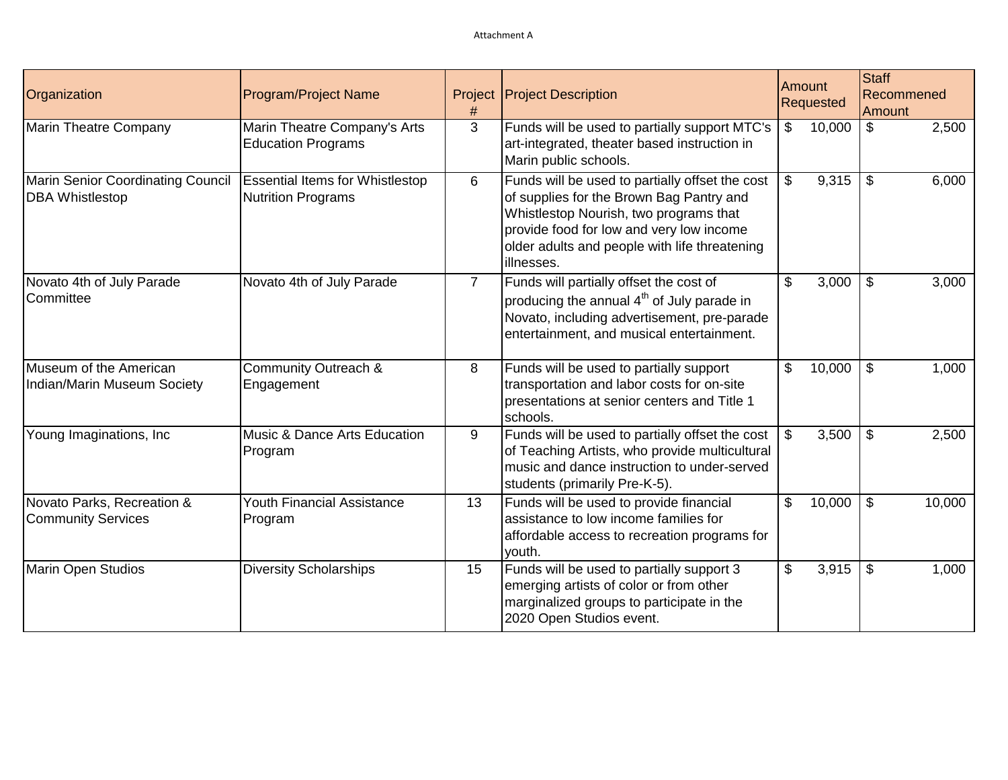| Organization                                                | <b>Program/Project Name</b>                                         | Project        | <b>Project Description</b>                                                                                                                                                                                                                       | Amount<br><b>Requested</b> |        | <b>Staff</b><br>Recommened<br>Amount |        |
|-------------------------------------------------------------|---------------------------------------------------------------------|----------------|--------------------------------------------------------------------------------------------------------------------------------------------------------------------------------------------------------------------------------------------------|----------------------------|--------|--------------------------------------|--------|
| <b>Marin Theatre Company</b>                                | Marin Theatre Company's Arts<br><b>Education Programs</b>           | 3              | Funds will be used to partially support MTC's<br>art-integrated, theater based instruction in<br>Marin public schools.                                                                                                                           | \$                         | 10,000 | $\boldsymbol{\mathsf{S}}$            | 2,500  |
| Marin Senior Coordinating Council<br><b>DBA</b> Whistlestop | <b>Essential Items for Whistlestop</b><br><b>Nutrition Programs</b> | 6              | Funds will be used to partially offset the cost<br>of supplies for the Brown Bag Pantry and<br>Whistlestop Nourish, two programs that<br>provide food for low and very low income<br>older adults and people with life threatening<br>illnesses. | $\boldsymbol{\mathsf{S}}$  | 9,315  | $\mathfrak{F}$                       | 6,000  |
| Novato 4th of July Parade<br>Committee                      | Novato 4th of July Parade                                           | $\overline{7}$ | Funds will partially offset the cost of<br>producing the annual 4 <sup>th</sup> of July parade in<br>Novato, including advertisement, pre-parade<br>entertainment, and musical entertainment.                                                    | \$                         | 3,000  | \$                                   | 3,000  |
| Museum of the American<br>Indian/Marin Museum Society       | Community Outreach &<br>Engagement                                  | 8              | Funds will be used to partially support<br>transportation and labor costs for on-site<br>presentations at senior centers and Title 1<br>schools.                                                                                                 | \$                         | 10,000 | $\mathfrak{L}$                       | 1,000  |
| Young Imaginations, Inc                                     | Music & Dance Arts Education<br>Program                             | 9              | Funds will be used to partially offset the cost<br>of Teaching Artists, who provide multicultural<br>music and dance instruction to under-served<br>students (primarily Pre-K-5).                                                                | $\mathfrak{S}$             | 3,500  | \$                                   | 2,500  |
| Novato Parks, Recreation &<br><b>Community Services</b>     | <b>Youth Financial Assistance</b><br>Program                        | 13             | Funds will be used to provide financial<br>assistance to low income families for<br>affordable access to recreation programs for<br>youth.                                                                                                       | \$                         | 10,000 | $\mathfrak{F}$                       | 10,000 |
| <b>Marin Open Studios</b>                                   | <b>Diversity Scholarships</b>                                       | 15             | Funds will be used to partially support 3<br>emerging artists of color or from other<br>marginalized groups to participate in the<br>2020 Open Studios event.                                                                                    | \$                         | 3,915  | $\mathfrak{L}$                       | 1,000  |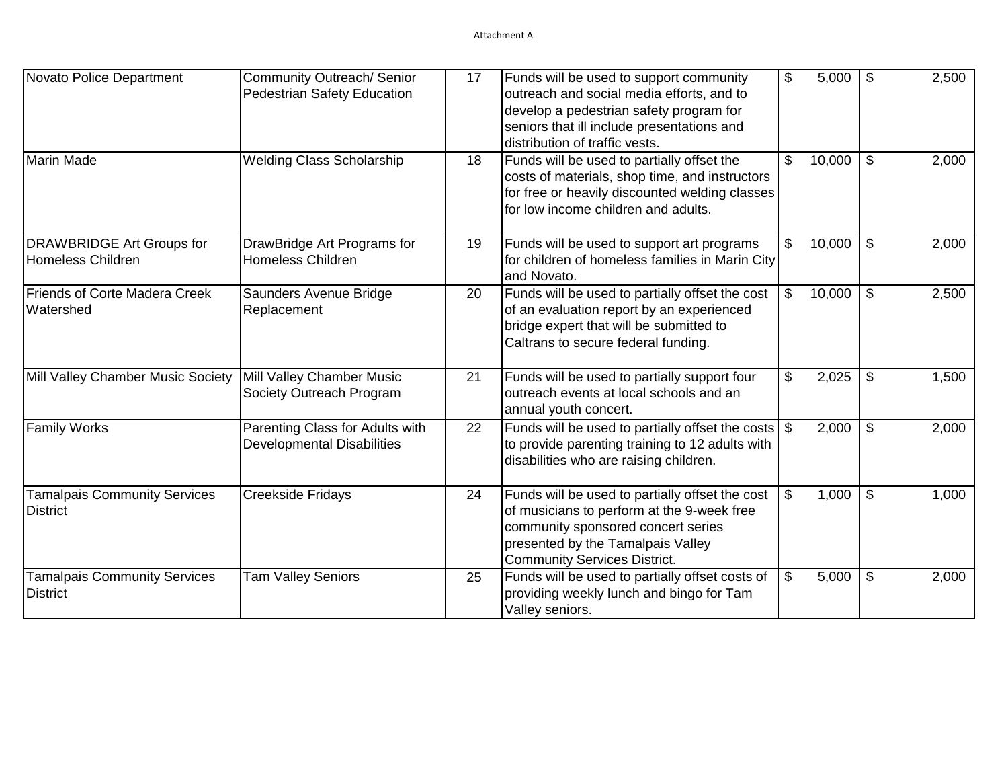| Novato Police Department                                     | Community Outreach/ Senior<br><b>Pedestrian Safety Education</b>     | 17 | Funds will be used to support community<br>outreach and social media efforts, and to<br>develop a pedestrian safety program for<br>seniors that ill include presentations and<br>distribution of traffic vests. | \$<br>5,000  | \$                         | 2,500 |
|--------------------------------------------------------------|----------------------------------------------------------------------|----|-----------------------------------------------------------------------------------------------------------------------------------------------------------------------------------------------------------------|--------------|----------------------------|-------|
| Marin Made                                                   | <b>Welding Class Scholarship</b>                                     | 18 | Funds will be used to partially offset the<br>costs of materials, shop time, and instructors<br>for free or heavily discounted welding classes<br>for low income children and adults.                           | \$<br>10,000 | \$                         | 2,000 |
| <b>DRAWBRIDGE Art Groups for</b><br><b>Homeless Children</b> | DrawBridge Art Programs for<br><b>Homeless Children</b>              | 19 | Funds will be used to support art programs<br>for children of homeless families in Marin City<br>and Novato.                                                                                                    | \$<br>10,000 | $\mathfrak{F}$             | 2,000 |
| <b>Friends of Corte Madera Creek</b><br>Watershed            | Saunders Avenue Bridge<br>Replacement                                | 20 | Funds will be used to partially offset the cost<br>of an evaluation report by an experienced<br>bridge expert that will be submitted to<br>Caltrans to secure federal funding.                                  | \$<br>10,000 | $\boldsymbol{\mathsf{S}}$  | 2,500 |
| Mill Valley Chamber Music Society                            | Mill Valley Chamber Music<br>Society Outreach Program                | 21 | Funds will be used to partially support four<br>outreach events at local schools and an<br>annual youth concert.                                                                                                | \$<br>2,025  | $\boldsymbol{\mathsf{\$}}$ | 1,500 |
| <b>Family Works</b>                                          | Parenting Class for Adults with<br><b>Developmental Disabilities</b> | 22 | Funds will be used to partially offset the costs $\frac{1}{2}$<br>to provide parenting training to 12 adults with<br>disabilities who are raising children.                                                     | 2,000        | $\mathfrak{F}$             | 2,000 |
| <b>Tamalpais Community Services</b><br><b>District</b>       | <b>Creekside Fridays</b>                                             | 24 | Funds will be used to partially offset the cost<br>of musicians to perform at the 9-week free<br>community sponsored concert series<br>presented by the Tamalpais Valley<br><b>Community Services District.</b> | \$<br>1,000  | $\sqrt[6]{\frac{1}{2}}$    | 1,000 |
| <b>Tamalpais Community Services</b><br><b>District</b>       | <b>Tam Valley Seniors</b>                                            | 25 | Funds will be used to partially offset costs of<br>providing weekly lunch and bingo for Tam<br>Valley seniors.                                                                                                  | \$<br>5,000  | $\boldsymbol{\mathsf{\$}}$ | 2,000 |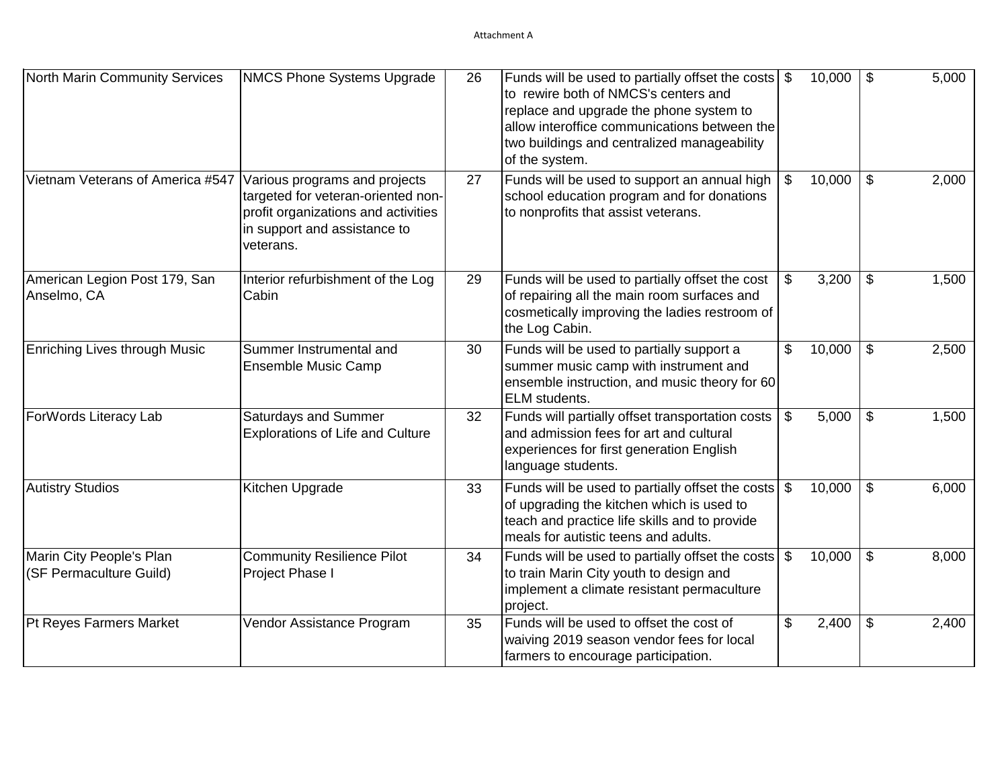| North Marin Community Services                      | <b>NMCS Phone Systems Upgrade</b>                                                                                                                       | 26 | Funds will be used to partially offset the costs<br>to rewire both of NMCS's centers and<br>replace and upgrade the phone system to<br>allow interoffice communications between the<br>two buildings and centralized manageability<br>of the system. | \$<br>10,000 | $\boldsymbol{\mathsf{\$}}$ | 5,000 |
|-----------------------------------------------------|---------------------------------------------------------------------------------------------------------------------------------------------------------|----|------------------------------------------------------------------------------------------------------------------------------------------------------------------------------------------------------------------------------------------------------|--------------|----------------------------|-------|
| Vietnam Veterans of America #547                    | Various programs and projects<br>targeted for veteran-oriented non-<br>profit organizations and activities<br>in support and assistance to<br>veterans. | 27 | Funds will be used to support an annual high<br>school education program and for donations<br>to nonprofits that assist veterans.                                                                                                                    | \$<br>10,000 | $\sqrt[6]{\frac{1}{2}}$    | 2,000 |
| American Legion Post 179, San<br>Anselmo, CA        | Interior refurbishment of the Log<br>Cabin                                                                                                              | 29 | Funds will be used to partially offset the cost<br>of repairing all the main room surfaces and<br>cosmetically improving the ladies restroom of<br>the Log Cabin.                                                                                    | \$<br>3,200  | \$                         | 1,500 |
| Enriching Lives through Music                       | Summer Instrumental and<br>Ensemble Music Camp                                                                                                          | 30 | Funds will be used to partially support a<br>summer music camp with instrument and<br>ensemble instruction, and music theory for 60<br>ELM students.                                                                                                 | \$<br>10,000 | $\mathfrak{F}$             | 2,500 |
| ForWords Literacy Lab                               | Saturdays and Summer<br><b>Explorations of Life and Culture</b>                                                                                         | 32 | Funds will partially offset transportation costs<br>and admission fees for art and cultural<br>experiences for first generation English<br>language students.                                                                                        | \$<br>5,000  | \$                         | 1,500 |
| <b>Autistry Studios</b>                             | Kitchen Upgrade                                                                                                                                         | 33 | Funds will be used to partially offset the costs<br>of upgrading the kitchen which is used to<br>teach and practice life skills and to provide<br>meals for autistic teens and adults.                                                               | \$<br>10,000 | $\boldsymbol{\mathsf{\$}}$ | 6,000 |
| Marin City People's Plan<br>(SF Permaculture Guild) | <b>Community Resilience Pilot</b><br>Project Phase I                                                                                                    | 34 | Funds will be used to partially offset the costs<br>to train Marin City youth to design and<br>implement a climate resistant permaculture<br>project.                                                                                                | \$<br>10,000 | $\boldsymbol{\mathsf{\$}}$ | 8,000 |
| Pt Reyes Farmers Market                             | Vendor Assistance Program                                                                                                                               | 35 | Funds will be used to offset the cost of<br>waiving 2019 season vendor fees for local<br>farmers to encourage participation.                                                                                                                         | \$<br>2,400  | \$                         | 2,400 |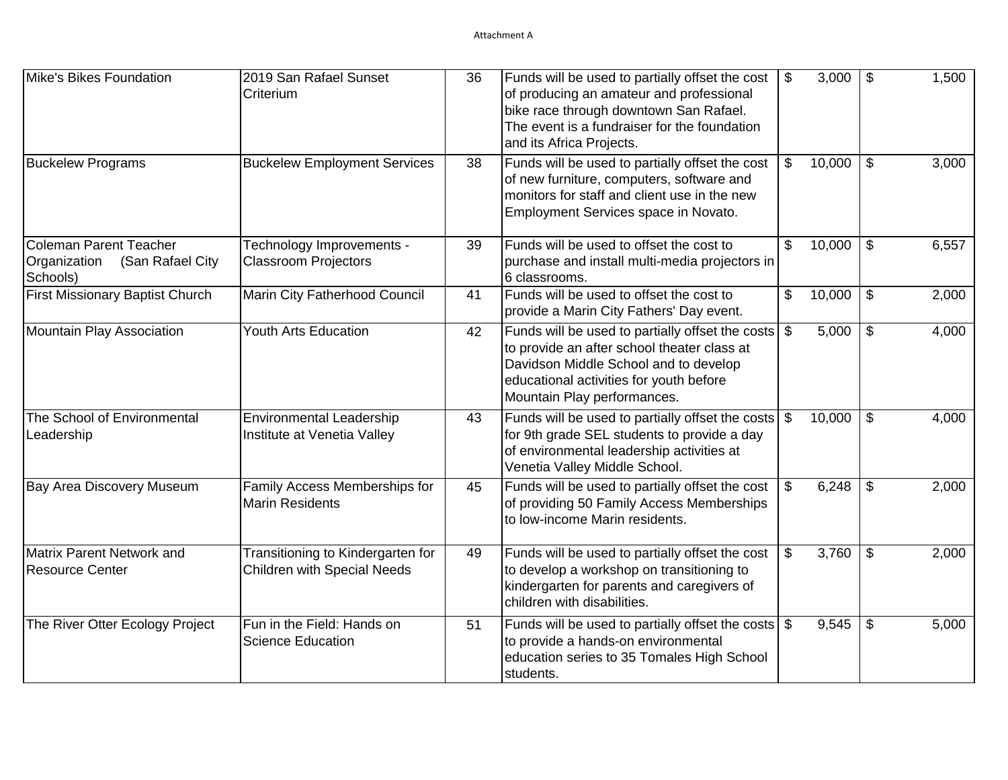| Mike's Bikes Foundation                                                       | 2019 San Rafael Sunset<br>Criterium                                     | 36 | Funds will be used to partially offset the cost<br>of producing an amateur and professional<br>bike race through downtown San Rafael.<br>The event is a fundraiser for the foundation<br>and its Africa Projects.  | \$<br>3,000  | \$                         | 1,500 |
|-------------------------------------------------------------------------------|-------------------------------------------------------------------------|----|--------------------------------------------------------------------------------------------------------------------------------------------------------------------------------------------------------------------|--------------|----------------------------|-------|
| <b>Buckelew Programs</b>                                                      | <b>Buckelew Employment Services</b>                                     | 38 | Funds will be used to partially offset the cost<br>of new furniture, computers, software and<br>monitors for staff and client use in the new<br>Employment Services space in Novato.                               | \$<br>10,000 | $\boldsymbol{\mathsf{\$}}$ | 3,000 |
| <b>Coleman Parent Teacher</b><br>Organization<br>(San Rafael City<br>Schools) | Technology Improvements -<br><b>Classroom Projectors</b>                | 39 | Funds will be used to offset the cost to<br>purchase and install multi-media projectors in<br>6 classrooms.                                                                                                        | \$<br>10,000 | $\boldsymbol{\mathsf{S}}$  | 6,557 |
| First Missionary Baptist Church                                               | Marin City Fatherhood Council                                           | 41 | Funds will be used to offset the cost to<br>provide a Marin City Fathers' Day event.                                                                                                                               | \$<br>10,000 | $\boldsymbol{\mathsf{\$}}$ | 2,000 |
| Mountain Play Association                                                     | <b>Youth Arts Education</b>                                             | 42 | Funds will be used to partially offset the costs<br>to provide an after school theater class at<br>Davidson Middle School and to develop<br>educational activities for youth before<br>Mountain Play performances. | \$<br>5,000  | $\$\$                      | 4,000 |
| The School of Environmental<br>Leadership                                     | <b>Environmental Leadership</b><br>Institute at Venetia Valley          | 43 | Funds will be used to partially offset the costs<br>for 9th grade SEL students to provide a day<br>of environmental leadership activities at<br>Venetia Valley Middle School.                                      | \$<br>10,000 | $\mathfrak{F}$             | 4,000 |
| <b>Bay Area Discovery Museum</b>                                              | Family Access Memberships for<br>Marin Residents                        | 45 | Funds will be used to partially offset the cost<br>of providing 50 Family Access Memberships<br>Ito Iow-income Marin residents.                                                                                    | \$<br>6,248  | $\mathbb{S}$               | 2,000 |
| <b>Matrix Parent Network and</b><br><b>Resource Center</b>                    | Transitioning to Kindergarten for<br><b>Children with Special Needs</b> | 49 | Funds will be used to partially offset the cost<br>to develop a workshop on transitioning to<br>kindergarten for parents and caregivers of<br>children with disabilities.                                          | \$<br>3,760  | $\mathfrak{L}$             | 2,000 |
| The River Otter Ecology Project                                               | Fun in the Field: Hands on<br>Science Education                         | 51 | Funds will be used to partially offset the costs<br>to provide a hands-on environmental<br>education series to 35 Tomales High School<br>students.                                                                 | \$<br>9,545  | $\boldsymbol{\mathsf{\$}}$ | 5,000 |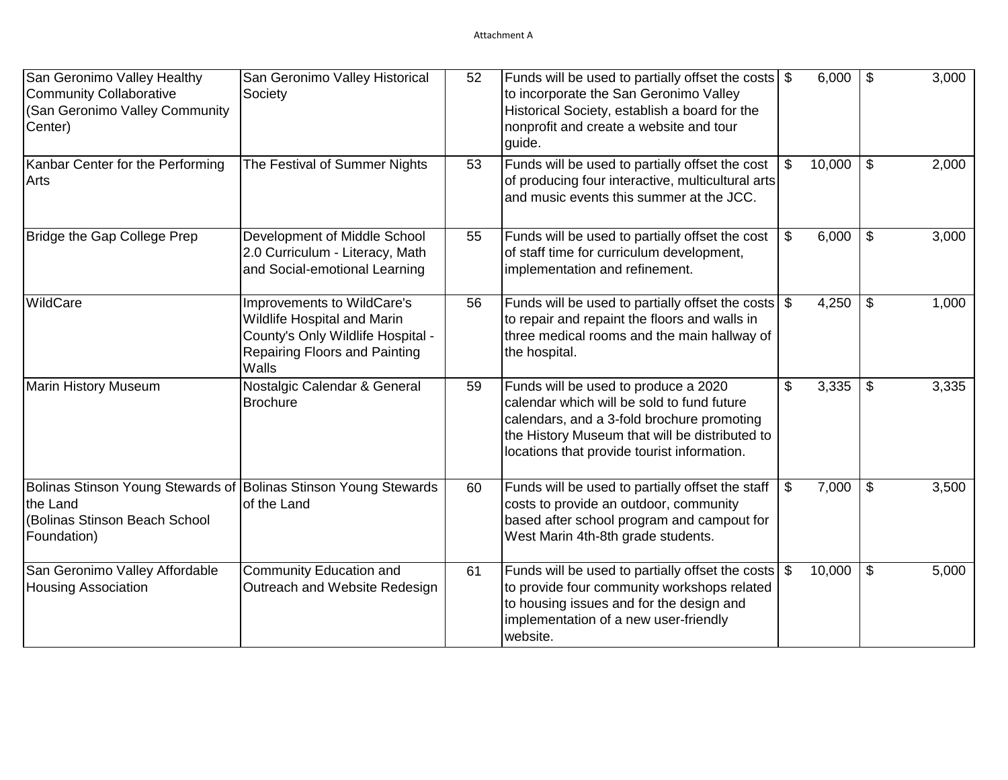| San Geronimo Valley Healthy<br><b>Community Collaborative</b><br>(San Geronimo Valley Community<br>Center)                   | San Geronimo Valley Historical<br>Society                                                                                                | 52 | Funds will be used to partially offset the costs<br>to incorporate the San Geronimo Valley<br>Historical Society, establish a board for the<br>nonprofit and create a website and tour<br>guide.                                  | \$             | 6,000  | \$                         | 3,000 |
|------------------------------------------------------------------------------------------------------------------------------|------------------------------------------------------------------------------------------------------------------------------------------|----|-----------------------------------------------------------------------------------------------------------------------------------------------------------------------------------------------------------------------------------|----------------|--------|----------------------------|-------|
| Kanbar Center for the Performing<br>Arts                                                                                     | The Festival of Summer Nights                                                                                                            | 53 | Funds will be used to partially offset the cost<br>of producing four interactive, multicultural arts<br>and music events this summer at the JCC.                                                                                  | \$             | 10,000 | \$                         | 2,000 |
| Bridge the Gap College Prep                                                                                                  | Development of Middle School<br>2.0 Curriculum - Literacy, Math<br>and Social-emotional Learning                                         | 55 | Funds will be used to partially offset the cost<br>of staff time for curriculum development,<br>implementation and refinement.                                                                                                    | \$             | 6,000  | $\mathfrak{F}$             | 3,000 |
| WildCare                                                                                                                     | Improvements to WildCare's<br>Wildlife Hospital and Marin<br>County's Only Wildlife Hospital -<br>Repairing Floors and Painting<br>Walls | 56 | Funds will be used to partially offset the costs $\frac{1}{2}$<br>to repair and repaint the floors and walls in<br>three medical rooms and the main hallway of<br>the hospital.                                                   |                | 4,250  | $\boldsymbol{\mathsf{\$}}$ | 1,000 |
| <b>Marin History Museum</b>                                                                                                  | Nostalgic Calendar & General<br><b>Brochure</b>                                                                                          | 59 | Funds will be used to produce a 2020<br>calendar which will be sold to fund future<br>calendars, and a 3-fold brochure promoting<br>the History Museum that will be distributed to<br>locations that provide tourist information. | \$             | 3,335  | \$                         | 3,335 |
| Bolinas Stinson Young Stewards of Bolinas Stinson Young Stewards<br>the Land<br>(Bolinas Stinson Beach School<br>Foundation) | of the Land                                                                                                                              | 60 | Funds will be used to partially offset the staff<br>costs to provide an outdoor, community<br>based after school program and campout for<br>West Marin 4th-8th grade students.                                                    | \$             | 7,000  | $\sqrt[6]{\frac{1}{2}}$    | 3,500 |
| San Geronimo Valley Affordable<br><b>Housing Association</b>                                                                 | Community Education and<br>Outreach and Website Redesign                                                                                 | 61 | Funds will be used to partially offset the costs<br>to provide four community workshops related<br>to housing issues and for the design and<br>implementation of a new user-friendly<br>website.                                  | $\mathfrak{S}$ | 10,000 | $\boldsymbol{\mathsf{\$}}$ | 5,000 |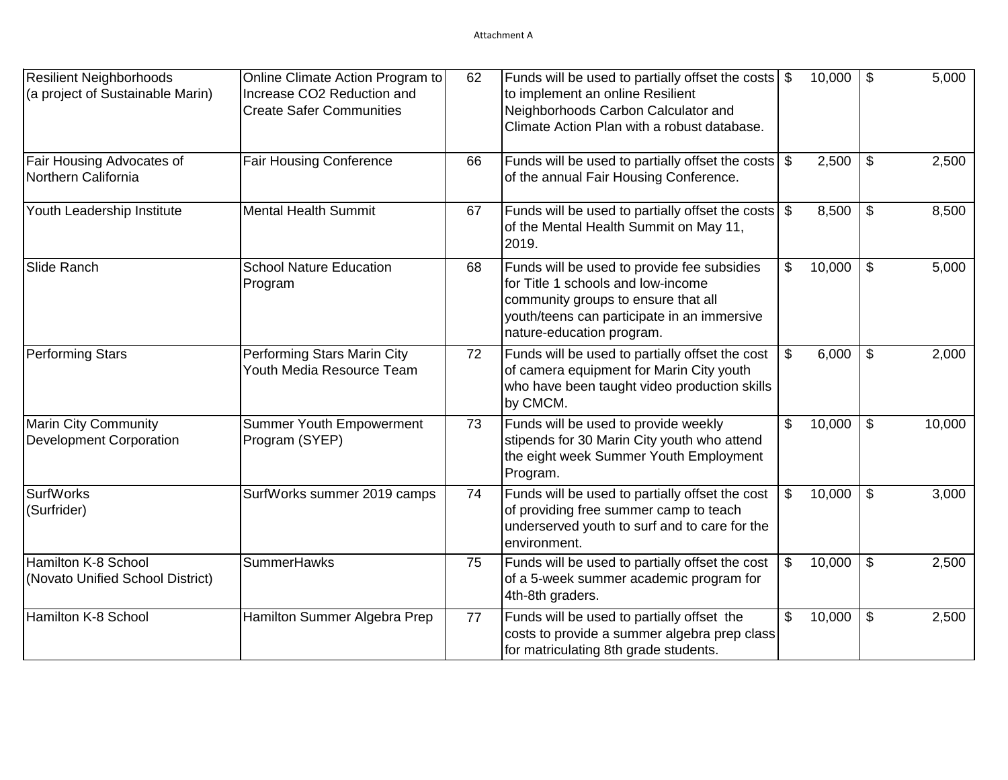| Resilient Neighborhoods                                       | Online Climate Action Program to                              | 62 |                                                                                                                                                                                                      |                | 10,000 | $\sqrt[6]{3}$             | 5,000  |
|---------------------------------------------------------------|---------------------------------------------------------------|----|------------------------------------------------------------------------------------------------------------------------------------------------------------------------------------------------------|----------------|--------|---------------------------|--------|
| (a project of Sustainable Marin)                              | Increase CO2 Reduction and<br><b>Create Safer Communities</b> |    | to implement an online Resilient<br>Neighborhoods Carbon Calculator and<br>Climate Action Plan with a robust database.                                                                               |                |        |                           |        |
| Fair Housing Advocates of<br>Northern California              | <b>Fair Housing Conference</b>                                | 66 | Funds will be used to partially offset the costs<br>of the annual Fair Housing Conference.                                                                                                           | \$             | 2,500  | $\mathfrak{S}$            | 2,500  |
| Youth Leadership Institute                                    | <b>Mental Health Summit</b>                                   | 67 | Funds will be used to partially offset the costs \$<br>of the Mental Health Summit on May 11,<br>2019.                                                                                               |                | 8,500  | $\boldsymbol{\mathsf{S}}$ | 8,500  |
| Slide Ranch                                                   | <b>School Nature Education</b><br>Program                     | 68 | Funds will be used to provide fee subsidies<br>for Title 1 schools and low-income<br>community groups to ensure that all<br>youth/teens can participate in an immersive<br>nature-education program. | \$             | 10,000 | $\mathfrak{F}$            | 5,000  |
| <b>Performing Stars</b>                                       | Performing Stars Marin City<br>Youth Media Resource Team      | 72 | Funds will be used to partially offset the cost<br>of camera equipment for Marin City youth<br>who have been taught video production skills<br>by CMCM.                                              | \$             | 6,000  | $\mathfrak{F}$            | 2,000  |
| <b>Marin City Community</b><br><b>Development Corporation</b> | <b>Summer Youth Empowerment</b><br>Program (SYEP)             | 73 | Funds will be used to provide weekly<br>stipends for 30 Marin City youth who attend<br>the eight week Summer Youth Employment<br>Program.                                                            | \$             | 10,000 | $\mathfrak{F}$            | 10,000 |
| <b>SurfWorks</b><br>(Surfrider)                               | SurfWorks summer 2019 camps                                   | 74 | Funds will be used to partially offset the cost<br>of providing free summer camp to teach<br>underserved youth to surf and to care for the<br>environment.                                           | \$             | 10,000 | \$                        | 3,000  |
| Hamilton K-8 School<br>(Novato Unified School District)       | <b>SummerHawks</b>                                            | 75 | Funds will be used to partially offset the cost<br>of a 5-week summer academic program for<br>4th-8th graders.                                                                                       | $\mathfrak{S}$ | 10,000 | $\overline{\mathbf{3}}$   | 2,500  |
| Hamilton K-8 School                                           | Hamilton Summer Algebra Prep                                  | 77 | Funds will be used to partially offset the<br>costs to provide a summer algebra prep class<br>for matriculating 8th grade students.                                                                  | $\frac{1}{2}$  | 10,000 | $\boldsymbol{\mathsf{S}}$ | 2,500  |